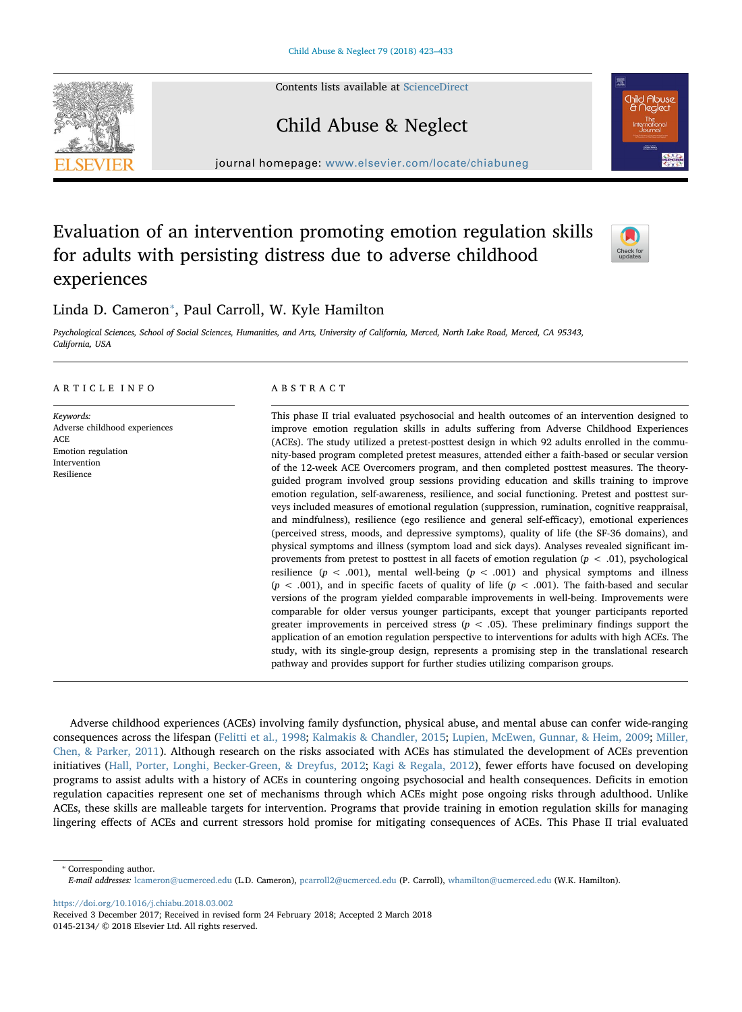Contents lists available at [ScienceDirect](http://www.sciencedirect.com/science/journal/01452134)



# Child Abuse & Neglect

journal homepage: [www.elsevier.com/locate/chiabuneg](https://www.elsevier.com/locate/chiabuneg)

# Evaluation of an intervention promoting emotion regulation skills for adults with persisting distress due to adverse childhood experiences



# Linda D. Cameron<sup>\*</sup>, Paul Carroll, W. Kyle Hamilton

Psychological Sciences, School of Social Sciences, Humanities, and Arts, University of California, Merced, North Lake Road, Merced, CA 95343, California, USA

# ARTICLE INFO

Keywords: Adverse childhood experiences ACE Emotion regulation Intervention Resilience

# ABSTRACT

This phase II trial evaluated psychosocial and health outcomes of an intervention designed to improve emotion regulation skills in adults suffering from Adverse Childhood Experiences (ACEs). The study utilized a pretest-posttest design in which 92 adults enrolled in the community-based program completed pretest measures, attended either a faith-based or secular version of the 12-week ACE Overcomers program, and then completed posttest measures. The theoryguided program involved group sessions providing education and skills training to improve emotion regulation, self-awareness, resilience, and social functioning. Pretest and posttest surveys included measures of emotional regulation (suppression, rumination, cognitive reappraisal, and mindfulness), resilience (ego resilience and general self-efficacy), emotional experiences (perceived stress, moods, and depressive symptoms), quality of life (the SF-36 domains), and physical symptoms and illness (symptom load and sick days). Analyses revealed significant improvements from pretest to posttest in all facets of emotion regulation  $(p < .01)$ , psychological resilience ( $p < .001$ ), mental well-being ( $p < .001$ ) and physical symptoms and illness  $(p < .001)$ , and in specific facets of quality of life  $(p < .001)$ . The faith-based and secular versions of the program yielded comparable improvements in well-being. Improvements were comparable for older versus younger participants, except that younger participants reported greater improvements in perceived stress ( $p < .05$ ). These preliminary findings support the application of an emotion regulation perspective to interventions for adults with high ACEs. The study, with its single-group design, represents a promising step in the translational research pathway and provides support for further studies utilizing comparison groups.

Adverse childhood experiences (ACEs) involving family dysfunction, physical abuse, and mental abuse can confer wide-ranging consequences across the lifespan [\(Felitti et al., 1998;](#page-9-0) [Kalmakis & Chandler, 2015](#page-9-1); [Lupien, McEwen, Gunnar, & Heim, 2009](#page-9-2); [Miller,](#page-9-3) [Chen, & Parker, 2011](#page-9-3)). Although research on the risks associated with ACEs has stimulated the development of ACEs prevention initiatives ([Hall, Porter, Longhi, Becker-Green, & Dreyfus, 2012](#page-9-4); [Kagi & Regala, 2012](#page-9-5)), fewer efforts have focused on developing programs to assist adults with a history of ACEs in countering ongoing psychosocial and health consequences. Deficits in emotion regulation capacities represent one set of mechanisms through which ACEs might pose ongoing risks through adulthood. Unlike ACEs, these skills are malleable targets for intervention. Programs that provide training in emotion regulation skills for managing lingering effects of ACEs and current stressors hold promise for mitigating consequences of ACEs. This Phase II trial evaluated

<span id="page-0-0"></span>⁎ Corresponding author. E-mail addresses: [lcameron@ucmerced.edu](mailto:lcameron@ucmerced.edu) (L.D. Cameron), [pcarroll2@ucmerced.edu](mailto:pcarroll2@ucmerced.edu) (P. Carroll), [whamilton@ucmerced.edu](mailto:whamilton@ucmerced.edu) (W.K. Hamilton).

<https://doi.org/10.1016/j.chiabu.2018.03.002>

Received 3 December 2017; Received in revised form 24 February 2018; Accepted 2 March 2018 0145-2134/ © 2018 Elsevier Ltd. All rights reserved.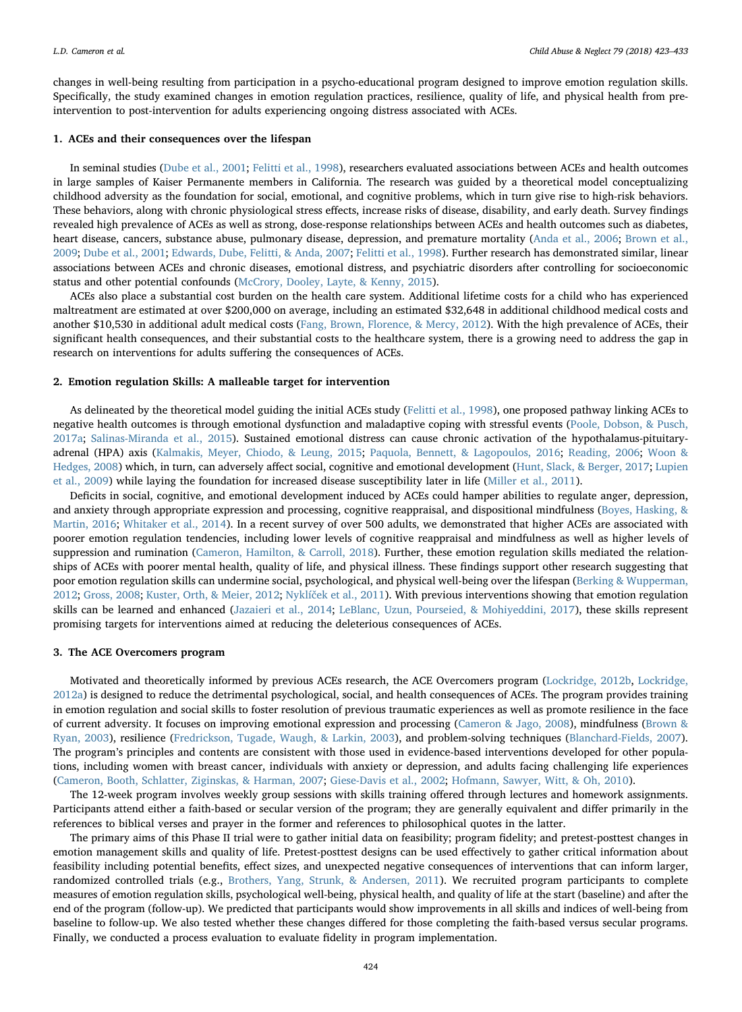changes in well-being resulting from participation in a psycho-educational program designed to improve emotion regulation skills. Specifically, the study examined changes in emotion regulation practices, resilience, quality of life, and physical health from preintervention to post-intervention for adults experiencing ongoing distress associated with ACEs.

#### 1. ACEs and their consequences over the lifespan

In seminal studies [\(Dube et al., 2001;](#page-8-0) [Felitti et al., 1998\)](#page-9-0), researchers evaluated associations between ACEs and health outcomes in large samples of Kaiser Permanente members in California. The research was guided by a theoretical model conceptualizing childhood adversity as the foundation for social, emotional, and cognitive problems, which in turn give rise to high-risk behaviors. These behaviors, along with chronic physiological stress effects, increase risks of disease, disability, and early death. Survey findings revealed high prevalence of ACEs as well as strong, dose-response relationships between ACEs and health outcomes such as diabetes, heart disease, cancers, substance abuse, pulmonary disease, depression, and premature mortality ([Anda et al., 2006;](#page-8-1) [Brown et al.,](#page-8-2) [2009;](#page-8-2) [Dube et al., 2001;](#page-8-0) [Edwards, Dube, Felitti, & Anda, 2007](#page-8-3); [Felitti et al., 1998](#page-9-0)). Further research has demonstrated similar, linear associations between ACEs and chronic diseases, emotional distress, and psychiatric disorders after controlling for socioeconomic status and other potential confounds ([McCrory, Dooley, Layte, & Kenny, 2015](#page-9-6)).

ACEs also place a substantial cost burden on the health care system. Additional lifetime costs for a child who has experienced maltreatment are estimated at over \$200,000 on average, including an estimated \$32,648 in additional childhood medical costs and another \$10,530 in additional adult medical costs ([Fang, Brown, Florence, & Mercy, 2012](#page-9-7)). With the high prevalence of ACEs, their significant health consequences, and their substantial costs to the healthcare system, there is a growing need to address the gap in research on interventions for adults suffering the consequences of ACEs.

#### 2. Emotion regulation Skills: A malleable target for intervention

As delineated by the theoretical model guiding the initial ACEs study [\(Felitti et al., 1998\)](#page-9-0), one proposed pathway linking ACEs to negative health outcomes is through emotional dysfunction and maladaptive coping with stressful events ([Poole, Dobson, & Pusch,](#page-9-8) [2017a](#page-9-8); [Salinas-Miranda et al., 2015](#page-9-9)). Sustained emotional distress can cause chronic activation of the hypothalamus-pituitaryadrenal (HPA) axis ([Kalmakis, Meyer, Chiodo, & Leung, 2015;](#page-9-10) [Paquola, Bennett, & Lagopoulos, 2016](#page-9-11); [Reading, 2006;](#page-9-12) [Woon &](#page-10-0) [Hedges, 2008\)](#page-10-0) which, in turn, can adversely affect social, cognitive and emotional development [\(Hunt, Slack, & Berger, 2017;](#page-9-13) [Lupien](#page-9-2) [et al., 2009\)](#page-9-2) while laying the foundation for increased disease susceptibility later in life [\(Miller et al., 2011\)](#page-9-3).

Deficits in social, cognitive, and emotional development induced by ACEs could hamper abilities to regulate anger, depression, and anxiety through appropriate expression and processing, cognitive reappraisal, and dispositional mindfulness ([Boyes, Hasking, &](#page-8-4) [Martin, 2016;](#page-8-4) [Whitaker et al., 2014](#page-10-1)). In a recent survey of over 500 adults, we demonstrated that higher ACEs are associated with poorer emotion regulation tendencies, including lower levels of cognitive reappraisal and mindfulness as well as higher levels of suppression and rumination ([Cameron, Hamilton, & Carroll, 2018](#page-8-5)). Further, these emotion regulation skills mediated the relationships of ACEs with poorer mental health, quality of life, and physical illness. These findings support other research suggesting that poor emotion regulation skills can undermine social, psychological, and physical well-being over the lifespan [\(Berking & Wupperman,](#page-8-6) [2012;](#page-8-6) [Gross, 2008](#page-9-14); [Kuster, Orth, & Meier, 2012](#page-9-15); Nyklíč[ek et al., 2011\)](#page-9-16). With previous interventions showing that emotion regulation skills can be learned and enhanced ([Jazaieri et al., 2014;](#page-9-17) [LeBlanc, Uzun, Pourseied, & Mohiyeddini, 2017](#page-9-18)), these skills represent promising targets for interventions aimed at reducing the deleterious consequences of ACEs.

#### 3. The ACE Overcomers program

Motivated and theoretically informed by previous ACEs research, the ACE Overcomers program [\(Lockridge, 2012b](#page-9-19), [Lockridge,](#page-9-20) [2012a](#page-9-20)) is designed to reduce the detrimental psychological, social, and health consequences of ACEs. The program provides training in emotion regulation and social skills to foster resolution of previous traumatic experiences as well as promote resilience in the face of current adversity. It focuses on improving emotional expression and processing [\(Cameron & Jago, 2008](#page-8-7)), mindfulness ([Brown &](#page-8-8) [Ryan, 2003](#page-8-8)), resilience ([Fredrickson, Tugade, Waugh, & Larkin, 2003\)](#page-9-21), and problem-solving techniques ([Blanchard-Fields, 2007\)](#page-8-9). The program's principles and contents are consistent with those used in evidence-based interventions developed for other populations, including women with breast cancer, individuals with anxiety or depression, and adults facing challenging life experiences ([Cameron, Booth, Schlatter, Ziginskas, & Harman, 2007;](#page-8-10) [Giese-Davis et al., 2002;](#page-9-22) [Hofmann, Sawyer, Witt, & Oh, 2010](#page-9-23)).

The 12-week program involves weekly group sessions with skills training offered through lectures and homework assignments. Participants attend either a faith-based or secular version of the program; they are generally equivalent and differ primarily in the references to biblical verses and prayer in the former and references to philosophical quotes in the latter.

The primary aims of this Phase II trial were to gather initial data on feasibility; program fidelity; and pretest-posttest changes in emotion management skills and quality of life. Pretest-posttest designs can be used effectively to gather critical information about feasibility including potential benefits, effect sizes, and unexpected negative consequences of interventions that can inform larger, randomized controlled trials (e.g., [Brothers, Yang, Strunk, & Andersen, 2011\)](#page-8-11). We recruited program participants to complete measures of emotion regulation skills, psychological well-being, physical health, and quality of life at the start (baseline) and after the end of the program (follow-up). We predicted that participants would show improvements in all skills and indices of well-being from baseline to follow-up. We also tested whether these changes differed for those completing the faith-based versus secular programs. Finally, we conducted a process evaluation to evaluate fidelity in program implementation.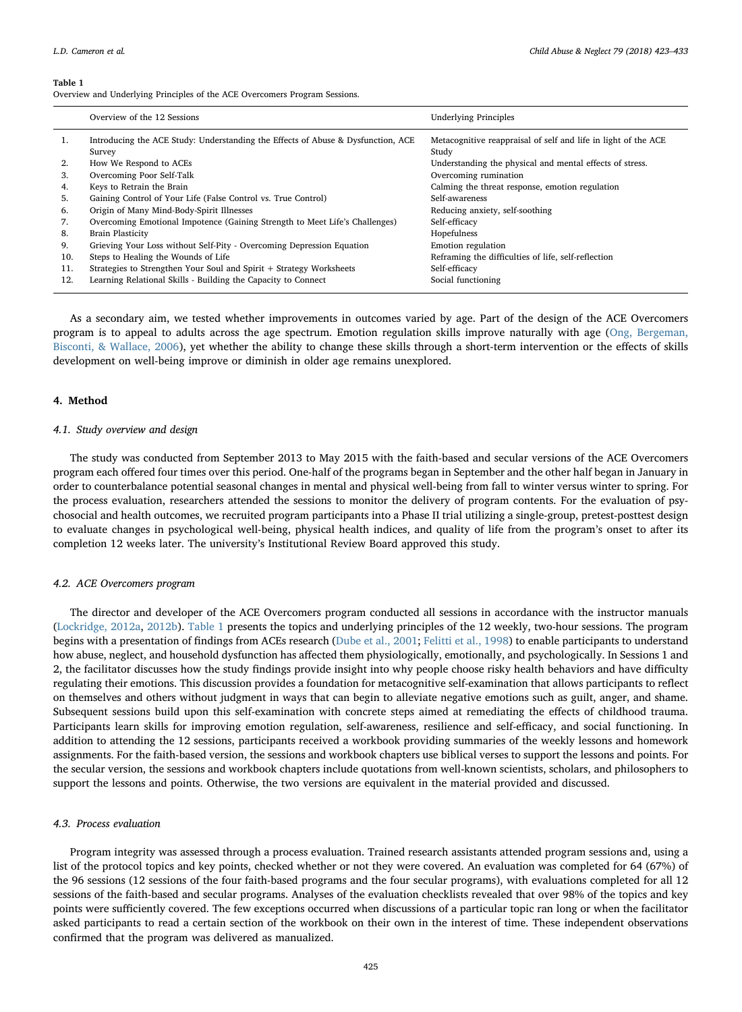#### <span id="page-2-0"></span>Table 1

Overview and Underlying Principles of the ACE Overcomers Program Sessions.

|     | Overview of the 12 Sessions                                                      | <b>Underlying Principles</b>                                   |
|-----|----------------------------------------------------------------------------------|----------------------------------------------------------------|
| 1.  | Introducing the ACE Study: Understanding the Effects of Abuse & Dysfunction, ACE | Metacognitive reappraisal of self and life in light of the ACE |
|     | Survey                                                                           | Study                                                          |
| 2.  | How We Respond to ACEs                                                           | Understanding the physical and mental effects of stress.       |
| 3.  | Overcoming Poor Self-Talk                                                        | Overcoming rumination                                          |
| 4.  | Keys to Retrain the Brain                                                        | Calming the threat response, emotion regulation                |
| 5.  | Gaining Control of Your Life (False Control vs. True Control)                    | Self-awareness                                                 |
| 6.  | Origin of Many Mind-Body-Spirit Illnesses                                        | Reducing anxiety, self-soothing                                |
| 7.  | Overcoming Emotional Impotence (Gaining Strength to Meet Life's Challenges)      | Self-efficacy                                                  |
| 8.  | <b>Brain Plasticity</b>                                                          | Hopefulness                                                    |
| 9.  | Grieving Your Loss without Self-Pity - Overcoming Depression Equation            | Emotion regulation                                             |
| 10. | Steps to Healing the Wounds of Life                                              | Reframing the difficulties of life, self-reflection            |
| 11. | Strategies to Strengthen Your Soul and Spirit + Strategy Worksheets              | Self-efficacy                                                  |
| 12. | Learning Relational Skills - Building the Capacity to Connect                    | Social functioning                                             |

As a secondary aim, we tested whether improvements in outcomes varied by age. Part of the design of the ACE Overcomers program is to appeal to adults across the age spectrum. Emotion regulation skills improve naturally with age [\(Ong, Bergeman,](#page-9-24) [Bisconti, & Wallace, 2006\)](#page-9-24), yet whether the ability to change these skills through a short-term intervention or the effects of skills development on well-being improve or diminish in older age remains unexplored.

#### 4. Method

#### 4.1. Study overview and design

The study was conducted from September 2013 to May 2015 with the faith-based and secular versions of the ACE Overcomers program each offered four times over this period. One-half of the programs began in September and the other half began in January in order to counterbalance potential seasonal changes in mental and physical well-being from fall to winter versus winter to spring. For the process evaluation, researchers attended the sessions to monitor the delivery of program contents. For the evaluation of psychosocial and health outcomes, we recruited program participants into a Phase II trial utilizing a single-group, pretest-posttest design to evaluate changes in psychological well-being, physical health indices, and quality of life from the program's onset to after its completion 12 weeks later. The university's Institutional Review Board approved this study.

#### 4.2. ACE Overcomers program

The director and developer of the ACE Overcomers program conducted all sessions in accordance with the instructor manuals ([Lockridge, 2012a](#page-9-20), [2012b](#page-9-19)). [Table 1](#page-2-0) presents the topics and underlying principles of the 12 weekly, two-hour sessions. The program begins with a presentation of findings from ACEs research ([Dube et al., 2001;](#page-8-0) [Felitti et al., 1998](#page-9-0)) to enable participants to understand how abuse, neglect, and household dysfunction has affected them physiologically, emotionally, and psychologically. In Sessions 1 and 2, the facilitator discusses how the study findings provide insight into why people choose risky health behaviors and have difficulty regulating their emotions. This discussion provides a foundation for metacognitive self-examination that allows participants to reflect on themselves and others without judgment in ways that can begin to alleviate negative emotions such as guilt, anger, and shame. Subsequent sessions build upon this self-examination with concrete steps aimed at remediating the effects of childhood trauma. Participants learn skills for improving emotion regulation, self-awareness, resilience and self-efficacy, and social functioning. In addition to attending the 12 sessions, participants received a workbook providing summaries of the weekly lessons and homework assignments. For the faith-based version, the sessions and workbook chapters use biblical verses to support the lessons and points. For the secular version, the sessions and workbook chapters include quotations from well-known scientists, scholars, and philosophers to support the lessons and points. Otherwise, the two versions are equivalent in the material provided and discussed.

## 4.3. Process evaluation

Program integrity was assessed through a process evaluation. Trained research assistants attended program sessions and, using a list of the protocol topics and key points, checked whether or not they were covered. An evaluation was completed for 64 (67%) of the 96 sessions (12 sessions of the four faith-based programs and the four secular programs), with evaluations completed for all 12 sessions of the faith-based and secular programs. Analyses of the evaluation checklists revealed that over 98% of the topics and key points were sufficiently covered. The few exceptions occurred when discussions of a particular topic ran long or when the facilitator asked participants to read a certain section of the workbook on their own in the interest of time. These independent observations confirmed that the program was delivered as manualized.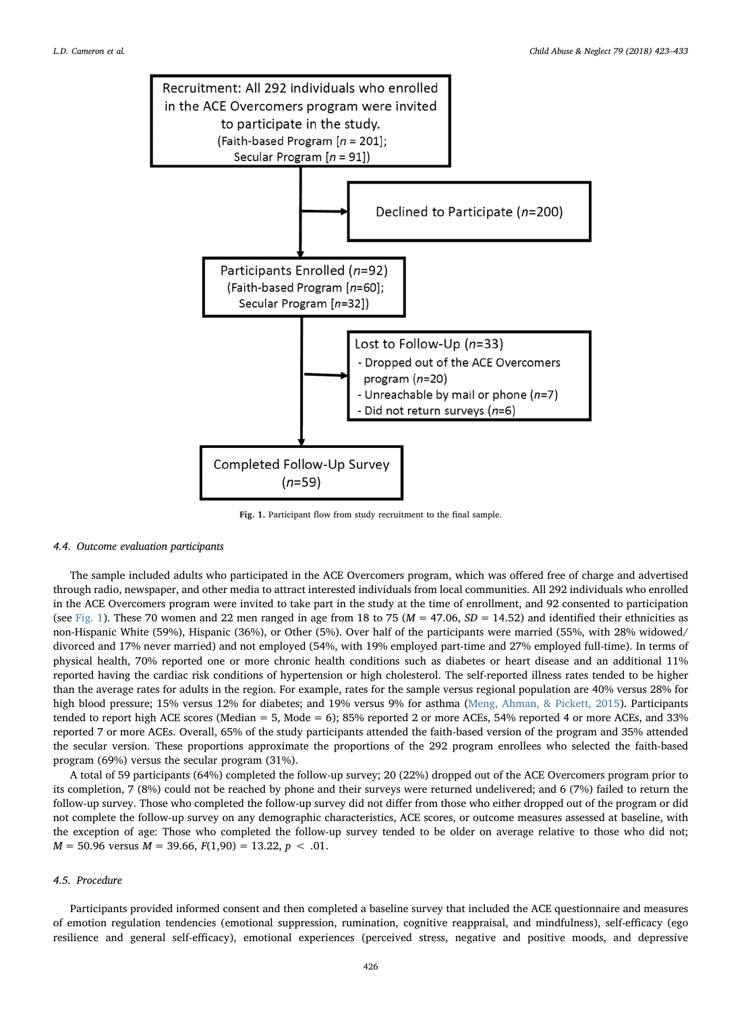<span id="page-3-0"></span>

Fig. 1. Participant flow from study recruitment to the final sample.

#### 4.4. Outcome evaluation participants

The sample included adults who participated in the ACE Overcomers program, which was offered free of charge and advertised through radio, newspaper, and other media to attract interested individuals from local communities. All 292 individuals who enrolled in the ACE Overcomers program were invited to take part in the study at the time of enrollment, and 92 consented to participation (see [Fig. 1\)](#page-3-0). These 70 women and 22 men ranged in age from 18 to 75 ( $M = 47.06$ ,  $SD = 14.52$ ) and identified their ethnicities as non-Hispanic White (59%), Hispanic (36%), or Other (5%). Over half of the participants were married (55%, with 28% widowed/ divorced and 17% never married) and not employed (54%, with 19% employed part-time and 27% employed full-time). In terms of physical health, 70% reported one or more chronic health conditions such as diabetes or heart disease and an additional 11% reported having the cardiac risk conditions of hypertension or high cholesterol. The self-reported illness rates tended to be higher than the average rates for adults in the region. For example, rates for the sample versus regional population are 40% versus 28% for high blood pressure; 15% versus 12% for diabetes; and 19% versus 9% for asthma ([Meng, Ahman, & Pickett, 2015](#page-9-25)). Participants tended to report high ACE scores (Median  $= 5$ , Mode  $= 6$ ); 85% reported 2 or more ACEs, 54% reported 4 or more ACEs, and 33% reported 7 or more ACEs. Overall, 65% of the study participants attended the faith-based version of the program and 35% attended the secular version. These proportions approximate the proportions of the 292 program enrollees who selected the faith-based program (69%) versus the secular program (31%).

A total of 59 participants (64%) completed the follow-up survey; 20 (22%) dropped out of the ACE Overcomers program prior to its completion, 7 (8%) could not be reached by phone and their surveys were returned undelivered; and 6 (7%) failed to return the follow-up survey. Those who completed the follow-up survey did not differ from those who either dropped out of the program or did not complete the follow-up survey on any demographic characteristics, ACE scores, or outcome measures assessed at baseline, with the exception of age: Those who completed the follow-up survey tended to be older on average relative to those who did not;  $M = 50.96$  versus  $M = 39.66$ ,  $F(1,90) = 13.22$ ,  $p < .01$ .

### 4.5. Procedure

Participants provided informed consent and then completed a baseline survey that included the ACE questionnaire and measures of emotion regulation tendencies (emotional suppression, rumination, cognitive reappraisal, and mindfulness), self-efficacy (ego resilience and general self-efficacy), emotional experiences (perceived stress, negative and positive moods, and depressive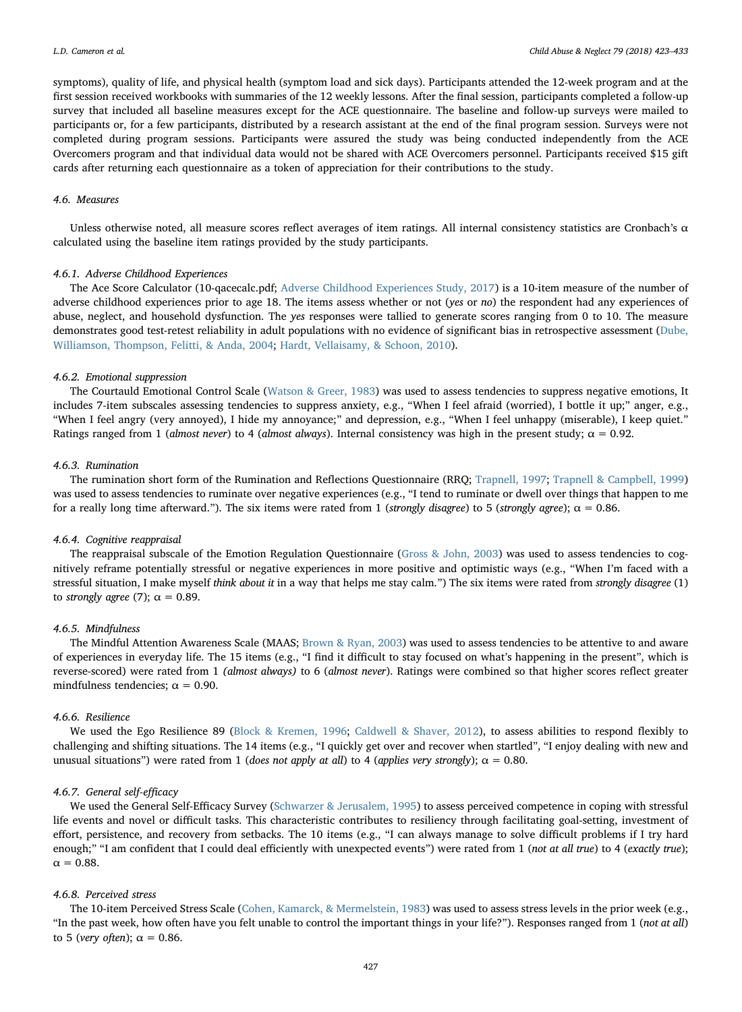symptoms), quality of life, and physical health (symptom load and sick days). Participants attended the 12-week program and at the first session received workbooks with summaries of the 12 weekly lessons. After the final session, participants completed a follow-up survey that included all baseline measures except for the ACE questionnaire. The baseline and follow-up surveys were mailed to participants or, for a few participants, distributed by a research assistant at the end of the final program session. Surveys were not completed during program sessions. Participants were assured the study was being conducted independently from the ACE Overcomers program and that individual data would not be shared with ACE Overcomers personnel. Participants received \$15 gift cards after returning each questionnaire as a token of appreciation for their contributions to the study.

## 4.6. Measures

Unless otherwise noted, all measure scores reflect averages of item ratings. All internal consistency statistics are Cronbach's α calculated using the baseline item ratings provided by the study participants.

#### 4.6.1. Adverse Childhood Experiences

The Ace Score Calculator (10-qacecalc.pdf; [Adverse Childhood Experiences Study, 2017](#page-8-12)) is a 10-item measure of the number of adverse childhood experiences prior to age 18. The items assess whether or not (yes or no) the respondent had any experiences of abuse, neglect, and household dysfunction. The yes responses were tallied to generate scores ranging from 0 to 10. The measure demonstrates good test-retest reliability in adult populations with no evidence of significant bias in retrospective assessment ([Dube,](#page-8-13) [Williamson, Thompson, Felitti, & Anda, 2004;](#page-8-13) [Hardt, Vellaisamy, & Schoon, 2010](#page-9-26)).

#### 4.6.2. Emotional suppression

The Courtauld Emotional Control Scale [\(Watson & Greer, 1983\)](#page-10-2) was used to assess tendencies to suppress negative emotions, It includes 7-item subscales assessing tendencies to suppress anxiety, e.g., "When I feel afraid (worried), I bottle it up;" anger, e.g., "When I feel angry (very annoyed), I hide my annoyance;" and depression, e.g., "When I feel unhappy (miserable), I keep quiet." Ratings ranged from 1 (almost never) to 4 (almost always). Internal consistency was high in the present study;  $\alpha = 0.92$ .

## 4.6.3. Rumination

The rumination short form of the Rumination and Reflections Questionnaire (RRQ; [Trapnell, 1997](#page-9-27); [Trapnell & Campbell, 1999](#page-10-3)) was used to assess tendencies to ruminate over negative experiences (e.g., "I tend to ruminate or dwell over things that happen to me for a really long time afterward."). The six items were rated from 1 (strongly disagree) to 5 (strongly agree);  $α = 0.86$ .

#### 4.6.4. Cognitive reappraisal

The reappraisal subscale of the Emotion Regulation Questionnaire ([Gross & John, 2003\)](#page-9-28) was used to assess tendencies to cognitively reframe potentially stressful or negative experiences in more positive and optimistic ways (e.g., "When I'm faced with a stressful situation, I make myself think about it in a way that helps me stay calm.") The six items were rated from strongly disagree (1) to strongly agree (7);  $\alpha = 0.89$ .

#### 4.6.5. Mindfulness

The Mindful Attention Awareness Scale (MAAS; [Brown & Ryan, 2003](#page-8-8)) was used to assess tendencies to be attentive to and aware of experiences in everyday life. The 15 items (e.g., "I find it difficult to stay focused on what's happening in the present", which is reverse-scored) were rated from 1 (almost always) to 6 (almost never). Ratings were combined so that higher scores reflect greater mindfulness tendencies;  $\alpha = 0.90$ .

## 4.6.6. Resilience

We used the Ego Resilience 89 ([Block & Kremen, 1996;](#page-8-14) [Caldwell & Shaver, 2012](#page-8-15)), to assess abilities to respond flexibly to challenging and shifting situations. The 14 items (e.g., "I quickly get over and recover when startled", "I enjoy dealing with new and unusual situations") were rated from 1 (does not apply at all) to 4 (applies very strongly);  $\alpha = 0.80$ .

#### 4.6.7. General self-efficacy

We used the General Self-Efficacy Survey [\(Schwarzer & Jerusalem, 1995\)](#page-9-29) to assess perceived competence in coping with stressful life events and novel or difficult tasks. This characteristic contributes to resiliency through facilitating goal-setting, investment of effort, persistence, and recovery from setbacks. The 10 items (e.g., "I can always manage to solve difficult problems if I try hard enough;" "I am confident that I could deal efficiently with unexpected events") were rated from 1 (not at all true) to 4 (exactly true);  $\alpha = 0.88$ .

# 4.6.8. Perceived stress

The 10-item Perceived Stress Scale ([Cohen, Kamarck, & Mermelstein, 1983\)](#page-8-16) was used to assess stress levels in the prior week (e.g., "In the past week, how often have you felt unable to control the important things in your life?"). Responses ranged from 1 (not at all) to 5 (very often);  $\alpha = 0.86$ .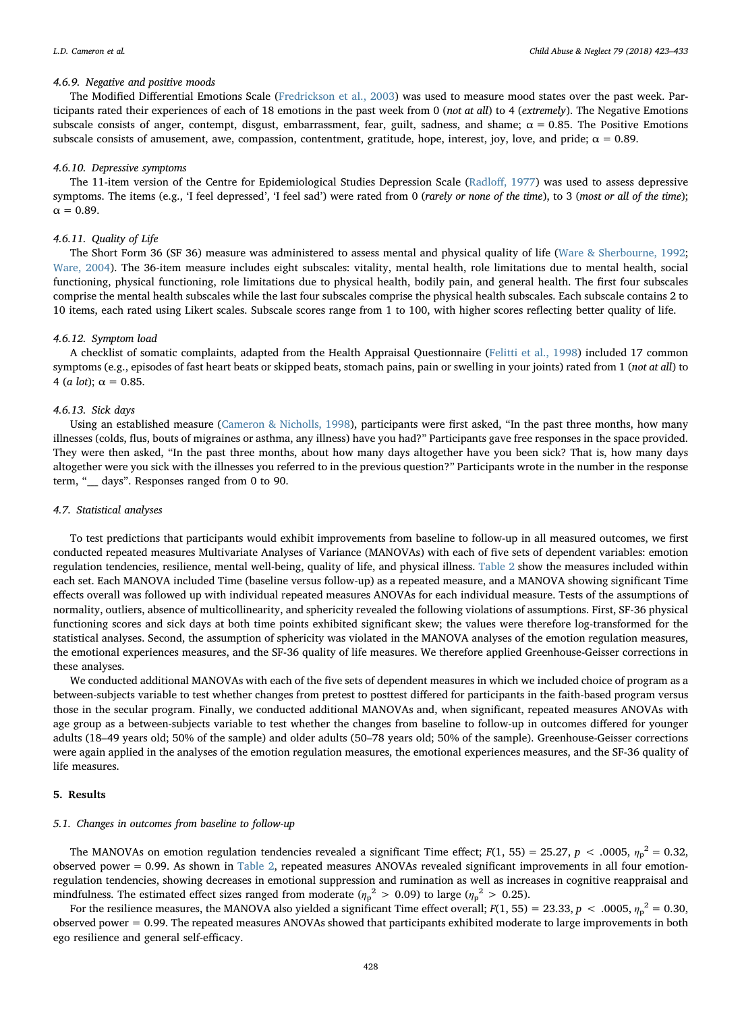### 4.6.9. Negative and positive moods

The Modified Differential Emotions Scale ([Fredrickson et al., 2003\)](#page-9-21) was used to measure mood states over the past week. Participants rated their experiences of each of 18 emotions in the past week from 0 (not at all) to 4 (extremely). The Negative Emotions subscale consists of anger, contempt, disgust, embarrassment, fear, guilt, sadness, and shame;  $\alpha = 0.85$ . The Positive Emotions subscale consists of amusement, awe, compassion, contentment, gratitude, hope, interest, joy, love, and pride;  $\alpha = 0.89$ .

#### 4.6.10. Depressive symptoms

The 11-item version of the Centre for Epidemiological Studies Depression Scale (Radloff[, 1977](#page-9-30)) was used to assess depressive symptoms. The items (e.g., 'I feel depressed', 'I feel sad') were rated from 0 (rarely or none of the time), to 3 (most or all of the time);  $\alpha = 0.89$ .

#### 4.6.11. Quality of Life

The Short Form 36 (SF 36) measure was administered to assess mental and physical quality of life ([Ware & Sherbourne, 1992;](#page-10-4) [Ware, 2004\)](#page-10-5). The 36-item measure includes eight subscales: vitality, mental health, role limitations due to mental health, social functioning, physical functioning, role limitations due to physical health, bodily pain, and general health. The first four subscales comprise the mental health subscales while the last four subscales comprise the physical health subscales. Each subscale contains 2 to 10 items, each rated using Likert scales. Subscale scores range from 1 to 100, with higher scores reflecting better quality of life.

#### 4.6.12. Symptom load

A checklist of somatic complaints, adapted from the Health Appraisal Questionnaire [\(Felitti et al., 1998\)](#page-9-0) included 17 common symptoms (e.g., episodes of fast heart beats or skipped beats, stomach pains, pain or swelling in your joints) rated from 1 (not at all) to 4 (a lot);  $\alpha = 0.85$ .

#### 4.6.13. Sick days

Using an established measure ([Cameron & Nicholls, 1998](#page-8-17)), participants were first asked, "In the past three months, how many illnesses (colds, flus, bouts of migraines or asthma, any illness) have you had?" Participants gave free responses in the space provided. They were then asked, "In the past three months, about how many days altogether have you been sick? That is, how many days altogether were you sick with the illnesses you referred to in the previous question?" Participants wrote in the number in the response term, "\_\_\_ days". Responses ranged from 0 to 90.

# 4.7. Statistical analyses

To test predictions that participants would exhibit improvements from baseline to follow-up in all measured outcomes, we first conducted repeated measures Multivariate Analyses of Variance (MANOVAs) with each of five sets of dependent variables: emotion regulation tendencies, resilience, mental well-being, quality of life, and physical illness. [Table 2](#page-6-0) show the measures included within each set. Each MANOVA included Time (baseline versus follow-up) as a repeated measure, and a MANOVA showing significant Time effects overall was followed up with individual repeated measures ANOVAs for each individual measure. Tests of the assumptions of normality, outliers, absence of multicollinearity, and sphericity revealed the following violations of assumptions. First, SF-36 physical functioning scores and sick days at both time points exhibited significant skew; the values were therefore log-transformed for the statistical analyses. Second, the assumption of sphericity was violated in the MANOVA analyses of the emotion regulation measures, the emotional experiences measures, and the SF-36 quality of life measures. We therefore applied Greenhouse-Geisser corrections in these analyses.

We conducted additional MANOVAs with each of the five sets of dependent measures in which we included choice of program as a between-subjects variable to test whether changes from pretest to posttest differed for participants in the faith-based program versus those in the secular program. Finally, we conducted additional MANOVAs and, when significant, repeated measures ANOVAs with age group as a between-subjects variable to test whether the changes from baseline to follow-up in outcomes differed for younger adults (18–49 years old; 50% of the sample) and older adults (50–78 years old; 50% of the sample). Greenhouse-Geisser corrections were again applied in the analyses of the emotion regulation measures, the emotional experiences measures, and the SF-36 quality of life measures.

#### 5. Results

## 5.1. Changes in outcomes from baseline to follow-up

The MANOVAs on emotion regulation tendencies revealed a significant Time effect;  $F(1, 55) = 25.27$ ,  $p < .0005$ ,  $\eta_p^2 = 0.32$ , observed power = 0.99. As shown in [Table 2](#page-6-0), repeated measures ANOVAs revealed significant improvements in all four emotionregulation tendencies, showing decreases in emotional suppression and rumination as well as increases in cognitive reappraisal and mindfulness. The estimated effect sizes ranged from moderate ( $\eta_p^2 > 0.09$ ) to large ( $\eta_p^2 > 0.25$ ).

For the resilience measures, the MANOVA also yielded a significant Time effect overall;  $F(1, 55) = 23.33, p < .0005, \eta_p^2 = 0.30,$ observed power = 0.99. The repeated measures ANOVAs showed that participants exhibited moderate to large improvements in both ego resilience and general self-efficacy.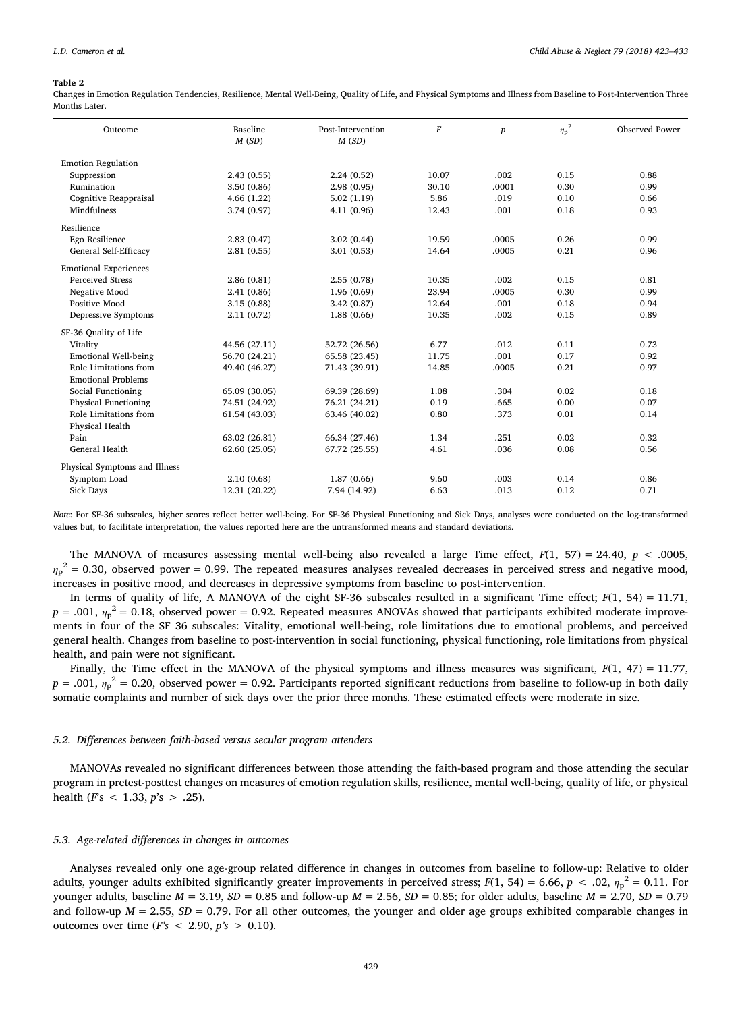#### <span id="page-6-0"></span>Table 2

Changes in Emotion Regulation Tendencies, Resilience, Mental Well-Being, Quality of Life, and Physical Symptoms and Illness from Baseline to Post-Intervention Three Months Later.

| Outcome                       | <b>Baseline</b><br>M(SD) | Post-Intervention<br>M(SD) | $\boldsymbol{F}$ | $\boldsymbol{p}$ | $\eta_{\rm p}^{\ \ 2}$ | Observed Power |
|-------------------------------|--------------------------|----------------------------|------------------|------------------|------------------------|----------------|
| <b>Emotion Regulation</b>     |                          |                            |                  |                  |                        |                |
| Suppression                   | 2.43(0.55)               | 2.24(0.52)                 | 10.07            | .002             | 0.15                   | 0.88           |
| Rumination                    | 3.50(0.86)               | 2.98(0.95)                 | 30.10            | .0001            | 0.30                   | 0.99           |
| Cognitive Reappraisal         | 4.66(1.22)               | 5.02(1.19)                 | 5.86             | .019             | 0.10                   | 0.66           |
| Mindfulness                   | 3.74(0.97)               | 4.11(0.96)                 | 12.43            | .001             | 0.18                   | 0.93           |
| Resilience                    |                          |                            |                  |                  |                        |                |
| Ego Resilience                | 2.83(0.47)               | 3.02(0.44)                 | 19.59            | .0005            | 0.26                   | 0.99           |
| General Self-Efficacy         | 2.81(0.55)               | 3.01(0.53)                 | 14.64            | .0005            | 0.21                   | 0.96           |
| <b>Emotional Experiences</b>  |                          |                            |                  |                  |                        |                |
| Perceived Stress              | 2.86(0.81)               | 2.55(0.78)                 | 10.35            | .002             | 0.15                   | 0.81           |
| Negative Mood                 | 2.41(0.86)               | 1.96(0.69)                 | 23.94            | .0005            | 0.30                   | 0.99           |
| Positive Mood                 | 3.15(0.88)               | 3.42(0.87)                 | 12.64            | .001             | 0.18                   | 0.94           |
| Depressive Symptoms           | 2.11 (0.72)              | 1.88(0.66)                 | 10.35            | .002             | 0.15                   | 0.89           |
| SF-36 Quality of Life         |                          |                            |                  |                  |                        |                |
| Vitality                      | 44.56 (27.11)            | 52.72 (26.56)              | 6.77             | .012             | 0.11                   | 0.73           |
| <b>Emotional Well-being</b>   | 56.70 (24.21)            | 65.58 (23.45)              | 11.75            | .001             | 0.17                   | 0.92           |
| Role Limitations from         | 49.40 (46.27)            | 71.43 (39.91)              | 14.85            | .0005            | 0.21                   | 0.97           |
| <b>Emotional Problems</b>     |                          |                            |                  |                  |                        |                |
| Social Functioning            | 65.09 (30.05)            | 69.39 (28.69)              | 1.08             | .304             | 0.02                   | 0.18           |
| <b>Physical Functioning</b>   | 74.51 (24.92)            | 76.21 (24.21)              | 0.19             | .665             | 0.00                   | 0.07           |
| Role Limitations from         | 61.54 (43.03)            | 63.46 (40.02)              | 0.80             | .373             | 0.01                   | 0.14           |
| Physical Health               |                          |                            |                  |                  |                        |                |
| Pain                          | 63.02 (26.81)            | 66.34 (27.46)              | 1.34             | .251             | 0.02                   | 0.32           |
| General Health                | 62.60 (25.05)            | 67.72 (25.55)              | 4.61             | .036             | 0.08                   | 0.56           |
| Physical Symptoms and Illness |                          |                            |                  |                  |                        |                |
| Symptom Load                  | 2.10(0.68)               | 1.87(0.66)                 | 9.60             | .003             | 0.14                   | 0.86           |
| Sick Days                     | 12.31 (20.22)            | 7.94 (14.92)               | 6.63             | .013             | 0.12                   | 0.71           |

Note: For SF-36 subscales, higher scores reflect better well-being. For SF-36 Physical Functioning and Sick Days, analyses were conducted on the log-transformed values but, to facilitate interpretation, the values reported here are the untransformed means and standard deviations.

The MANOVA of measures assessing mental well-being also revealed a large Time effect,  $F(1, 57) = 24.40$ ,  $p < .0005$ ,  $\eta_p^2$  = 0.30, observed power = 0.99. The repeated measures analyses revealed decreases in perceived stress and negative mood, increases in positive mood, and decreases in depressive symptoms from baseline to post-intervention.

In terms of quality of life, A MANOVA of the eight SF-36 subscales resulted in a significant Time effect;  $F(1, 54) = 11.71$ ,  $p = .001$ ,  $\eta_p^2 = 0.18$ , observed power = 0.92. Repeated measures ANOVAs showed that participants exhibited moderate improvements in four of the SF 36 subscales: Vitality, emotional well-being, role limitations due to emotional problems, and perceived general health. Changes from baseline to post-intervention in social functioning, physical functioning, role limitations from physical health, and pain were not significant.

Finally, the Time effect in the MANOVA of the physical symptoms and illness measures was significant,  $F(1, 47) = 11.77$ ,  $p = .001$ ,  $\eta_p^2 = 0.20$ , observed power = 0.92. Participants reported significant reductions from baseline to follow-up in both daily somatic complaints and number of sick days over the prior three months. These estimated effects were moderate in size.

#### 5.2. Differences between faith-based versus secular program attenders

MANOVAs revealed no significant differences between those attending the faith-based program and those attending the secular program in pretest-posttest changes on measures of emotion regulation skills, resilience, mental well-being, quality of life, or physical health ( $F$ 's < 1.33,  $p$ 's > .25).

## 5.3. Age-related differences in changes in outcomes

Analyses revealed only one age-group related difference in changes in outcomes from baseline to follow-up: Relative to older adults, younger adults exhibited significantly greater improvements in perceived stress;  $F(1, 54) = 6.66$ ,  $p < .02$ ,  $\eta_p^2 = 0.11$ . For younger adults, baseline  $M = 3.19$ ,  $SD = 0.85$  and follow-up  $M = 2.56$ ,  $SD = 0.85$ ; for older adults, baseline  $M = 2.70$ ,  $SD = 0.79$ and follow-up  $M = 2.55$ ,  $SD = 0.79$ . For all other outcomes, the younger and older age groups exhibited comparable changes in outcomes over time  $(F's < 2.90, p's > 0.10)$ .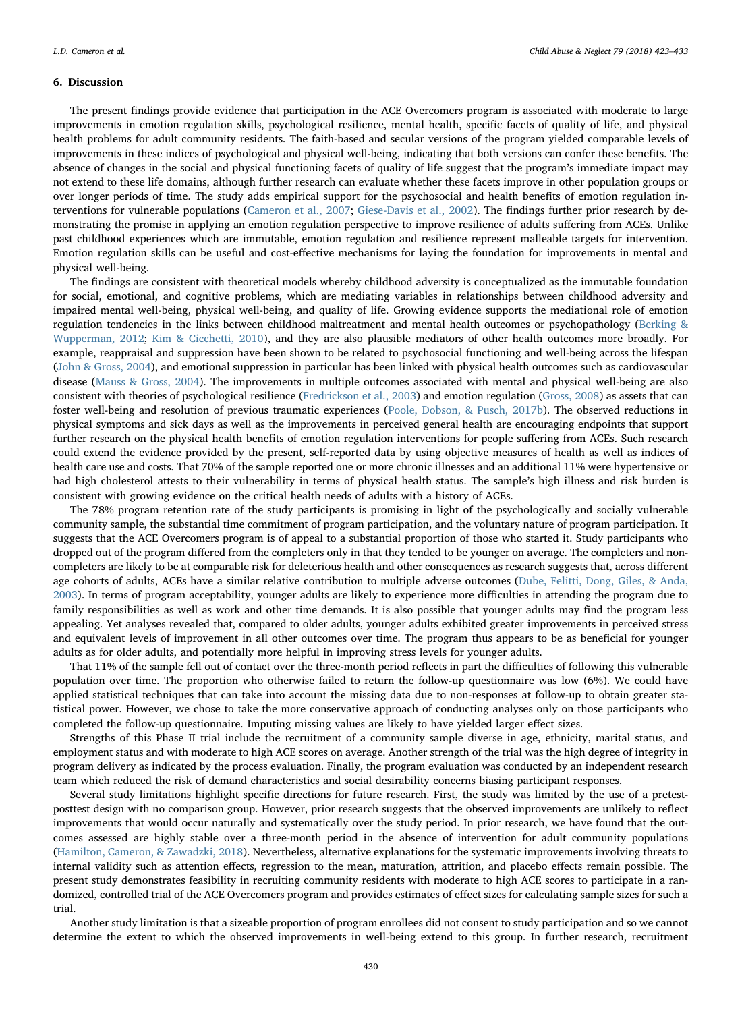# 6. Discussion

The present findings provide evidence that participation in the ACE Overcomers program is associated with moderate to large improvements in emotion regulation skills, psychological resilience, mental health, specific facets of quality of life, and physical health problems for adult community residents. The faith-based and secular versions of the program yielded comparable levels of improvements in these indices of psychological and physical well-being, indicating that both versions can confer these benefits. The absence of changes in the social and physical functioning facets of quality of life suggest that the program's immediate impact may not extend to these life domains, although further research can evaluate whether these facets improve in other population groups or over longer periods of time. The study adds empirical support for the psychosocial and health benefits of emotion regulation interventions for vulnerable populations ([Cameron et al., 2007](#page-8-10); [Giese-Davis et al., 2002](#page-9-22)). The findings further prior research by demonstrating the promise in applying an emotion regulation perspective to improve resilience of adults suffering from ACEs. Unlike past childhood experiences which are immutable, emotion regulation and resilience represent malleable targets for intervention. Emotion regulation skills can be useful and cost-effective mechanisms for laying the foundation for improvements in mental and physical well-being.

The findings are consistent with theoretical models whereby childhood adversity is conceptualized as the immutable foundation for social, emotional, and cognitive problems, which are mediating variables in relationships between childhood adversity and impaired mental well-being, physical well-being, and quality of life. Growing evidence supports the mediational role of emotion regulation tendencies in the links between childhood maltreatment and mental health outcomes or psychopathology [\(Berking &](#page-8-6) [Wupperman, 2012;](#page-8-6) [Kim & Cicchetti, 2010](#page-9-31)), and they are also plausible mediators of other health outcomes more broadly. For example, reappraisal and suppression have been shown to be related to psychosocial functioning and well-being across the lifespan ([John & Gross, 2004\)](#page-9-32), and emotional suppression in particular has been linked with physical health outcomes such as cardiovascular disease [\(Mauss & Gross, 2004](#page-9-33)). The improvements in multiple outcomes associated with mental and physical well-being are also consistent with theories of psychological resilience [\(Fredrickson et al., 2003\)](#page-9-21) and emotion regulation [\(Gross, 2008\)](#page-9-14) as assets that can foster well-being and resolution of previous traumatic experiences ([Poole, Dobson, & Pusch, 2017b\)](#page-9-34). The observed reductions in physical symptoms and sick days as well as the improvements in perceived general health are encouraging endpoints that support further research on the physical health benefits of emotion regulation interventions for people suffering from ACEs. Such research could extend the evidence provided by the present, self-reported data by using objective measures of health as well as indices of health care use and costs. That 70% of the sample reported one or more chronic illnesses and an additional 11% were hypertensive or had high cholesterol attests to their vulnerability in terms of physical health status. The sample's high illness and risk burden is consistent with growing evidence on the critical health needs of adults with a history of ACEs.

The 78% program retention rate of the study participants is promising in light of the psychologically and socially vulnerable community sample, the substantial time commitment of program participation, and the voluntary nature of program participation. It suggests that the ACE Overcomers program is of appeal to a substantial proportion of those who started it. Study participants who dropped out of the program differed from the completers only in that they tended to be younger on average. The completers and noncompleters are likely to be at comparable risk for deleterious health and other consequences as research suggests that, across different age cohorts of adults, ACEs have a similar relative contribution to multiple adverse outcomes ([Dube, Felitti, Dong, Giles, & Anda,](#page-8-18) [2003\)](#page-8-18). In terms of program acceptability, younger adults are likely to experience more difficulties in attending the program due to family responsibilities as well as work and other time demands. It is also possible that younger adults may find the program less appealing. Yet analyses revealed that, compared to older adults, younger adults exhibited greater improvements in perceived stress and equivalent levels of improvement in all other outcomes over time. The program thus appears to be as beneficial for younger adults as for older adults, and potentially more helpful in improving stress levels for younger adults.

That 11% of the sample fell out of contact over the three-month period reflects in part the difficulties of following this vulnerable population over time. The proportion who otherwise failed to return the follow-up questionnaire was low (6%). We could have applied statistical techniques that can take into account the missing data due to non-responses at follow-up to obtain greater statistical power. However, we chose to take the more conservative approach of conducting analyses only on those participants who completed the follow-up questionnaire. Imputing missing values are likely to have yielded larger effect sizes.

Strengths of this Phase II trial include the recruitment of a community sample diverse in age, ethnicity, marital status, and employment status and with moderate to high ACE scores on average. Another strength of the trial was the high degree of integrity in program delivery as indicated by the process evaluation. Finally, the program evaluation was conducted by an independent research team which reduced the risk of demand characteristics and social desirability concerns biasing participant responses.

Several study limitations highlight specific directions for future research. First, the study was limited by the use of a pretestposttest design with no comparison group. However, prior research suggests that the observed improvements are unlikely to reflect improvements that would occur naturally and systematically over the study period. In prior research, we have found that the outcomes assessed are highly stable over a three-month period in the absence of intervention for adult community populations ([Hamilton, Cameron, & Zawadzki, 2018](#page-9-35)). Nevertheless, alternative explanations for the systematic improvements involving threats to internal validity such as attention effects, regression to the mean, maturation, attrition, and placebo effects remain possible. The present study demonstrates feasibility in recruiting community residents with moderate to high ACE scores to participate in a randomized, controlled trial of the ACE Overcomers program and provides estimates of effect sizes for calculating sample sizes for such a trial.

Another study limitation is that a sizeable proportion of program enrollees did not consent to study participation and so we cannot determine the extent to which the observed improvements in well-being extend to this group. In further research, recruitment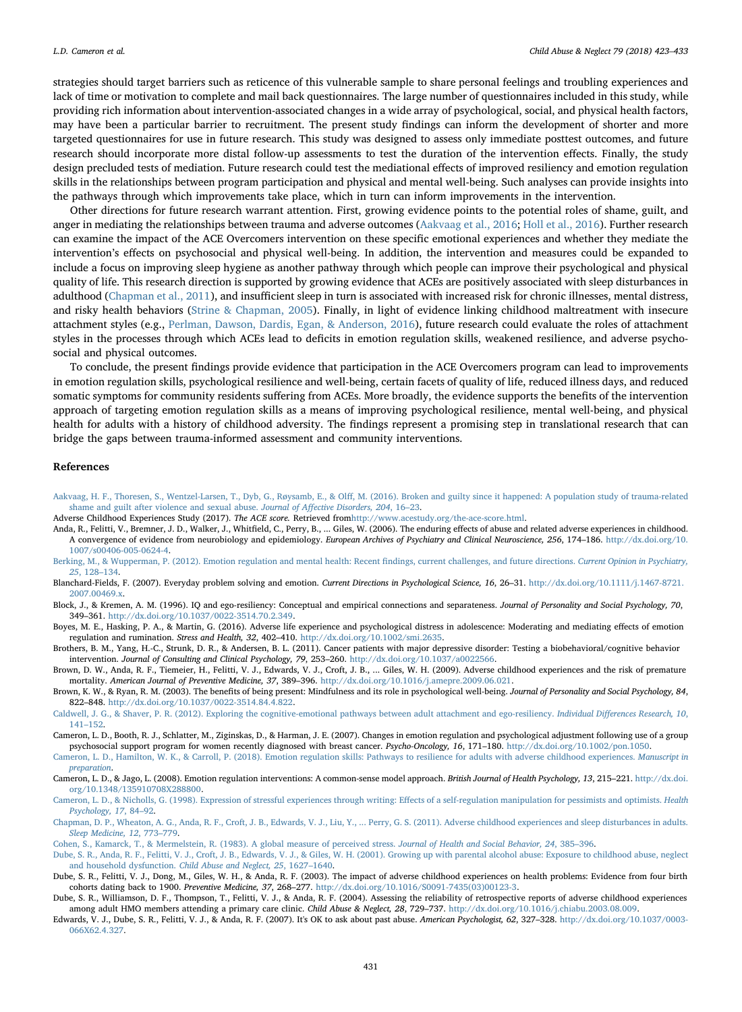strategies should target barriers such as reticence of this vulnerable sample to share personal feelings and troubling experiences and lack of time or motivation to complete and mail back questionnaires. The large number of questionnaires included in this study, while providing rich information about intervention-associated changes in a wide array of psychological, social, and physical health factors, may have been a particular barrier to recruitment. The present study findings can inform the development of shorter and more targeted questionnaires for use in future research. This study was designed to assess only immediate posttest outcomes, and future research should incorporate more distal follow-up assessments to test the duration of the intervention effects. Finally, the study design precluded tests of mediation. Future research could test the mediational effects of improved resiliency and emotion regulation skills in the relationships between program participation and physical and mental well-being. Such analyses can provide insights into the pathways through which improvements take place, which in turn can inform improvements in the intervention.

Other directions for future research warrant attention. First, growing evidence points to the potential roles of shame, guilt, and anger in mediating the relationships between trauma and adverse outcomes [\(Aakvaag et al., 2016;](#page-8-19) [Holl et al., 2016](#page-9-36)). Further research can examine the impact of the ACE Overcomers intervention on these specific emotional experiences and whether they mediate the intervention's effects on psychosocial and physical well-being. In addition, the intervention and measures could be expanded to include a focus on improving sleep hygiene as another pathway through which people can improve their psychological and physical quality of life. This research direction is supported by growing evidence that ACEs are positively associated with sleep disturbances in adulthood ([Chapman et al., 2011](#page-8-20)), and insufficient sleep in turn is associated with increased risk for chronic illnesses, mental distress, and risky health behaviors ([Strine & Chapman, 2005\)](#page-9-37). Finally, in light of evidence linking childhood maltreatment with insecure attachment styles (e.g., [Perlman, Dawson, Dardis, Egan, & Anderson, 2016\)](#page-9-38), future research could evaluate the roles of attachment styles in the processes through which ACEs lead to deficits in emotion regulation skills, weakened resilience, and adverse psychosocial and physical outcomes.

To conclude, the present findings provide evidence that participation in the ACE Overcomers program can lead to improvements in emotion regulation skills, psychological resilience and well-being, certain facets of quality of life, reduced illness days, and reduced somatic symptoms for community residents suffering from ACEs. More broadly, the evidence supports the benefits of the intervention approach of targeting emotion regulation skills as a means of improving psychological resilience, mental well-being, and physical health for adults with a history of childhood adversity. The findings represent a promising step in translational research that can bridge the gaps between trauma-informed assessment and community interventions.

#### References

- <span id="page-8-19"></span>Aakvaag, H. F., Thoresen, S., Wentzel-Larsen, T., Dyb, G., Røysamb, E., & Olff[, M. \(2016\). Broken and guilty since it happened: A population study of trauma-related](http://refhub.elsevier.com/S0145-2134(18)30106-6/sbref0005) [shame and guilt after violence and sexual abuse.](http://refhub.elsevier.com/S0145-2134(18)30106-6/sbref0005) Journal of Affective Disorders, 204, 16–23.
- <span id="page-8-12"></span>Adverse Childhood Experiences Study (2017). The ACE score. Retrieved from<http://www.acestudy.org/the-ace-score.html>.
- <span id="page-8-1"></span>Anda, R., Felitti, V., Bremner, J. D., Walker, J., Whitfield, C., Perry, B., ... Giles, W. (2006). The enduring effects of abuse and related adverse experiences in childhood. A convergence of evidence from neurobiology and epidemiology. European Archives of Psychiatry and Clinical Neuroscience, 256, 174–186. [http://dx.doi.org/10.](http://dx.doi.org/10.1007/s00406-005-0624-4) [1007/s00406-005-0624-4.](http://dx.doi.org/10.1007/s00406-005-0624-4)
- <span id="page-8-6"></span>[Berking, M., & Wupperman, P. \(2012\). Emotion regulation and mental health: Recent](http://refhub.elsevier.com/S0145-2134(18)30106-6/sbref0020) findings, current challenges, and future directions. Current Opinion in Psychiatry, 25[, 128](http://refhub.elsevier.com/S0145-2134(18)30106-6/sbref0020)–134.
- <span id="page-8-9"></span>Blanchard-Fields, F. (2007). Everyday problem solving and emotion. Current Directions in Psychological Science, 16, 26-31. [http://dx.doi.org/10.1111/j.1467-8721.](http://dx.doi.org/10.1111/j.1467-8721.2007.00469.x) [2007.00469.x](http://dx.doi.org/10.1111/j.1467-8721.2007.00469.x).
- <span id="page-8-14"></span>Block, J., & Kremen, A. M. (1996). IQ and ego-resiliency: Conceptual and empirical connections and separateness. Journal of Personality and Social Psychology, 70, 349–361. <http://dx.doi.org/10.1037/0022-3514.70.2.349>.
- <span id="page-8-4"></span>Boyes, M. E., Hasking, P. A., & Martin, G. (2016). Adverse life experience and psychological distress in adolescence: Moderating and mediating effects of emotion regulation and rumination. Stress and Health, 32, 402–410. [http://dx.doi.org/10.1002/smi.2635.](http://dx.doi.org/10.1002/smi.2635)
- <span id="page-8-11"></span>Brothers, B. M., Yang, H.-C., Strunk, D. R., & Andersen, B. L. (2011). Cancer patients with major depressive disorder: Testing a biobehavioral/cognitive behavior intervention. Journal of Consulting and Clinical Psychology, 79, 253–260. <http://dx.doi.org/10.1037/a0022566>.
- <span id="page-8-2"></span>Brown, D. W., Anda, R. F., Tiemeier, H., Felitti, V. J., Edwards, V. J., Croft, J. B., ... Giles, W. H. (2009). Adverse childhood experiences and the risk of premature mortality. American Journal of Preventive Medicine, 37, 389–396. <http://dx.doi.org/10.1016/j.amepre.2009.06.021>.
- <span id="page-8-8"></span>Brown, K. W., & Ryan, R. M. (2003). The benefits of being present: Mindfulness and its role in psychological well-being. Journal of Personality and Social Psychology, 84, 822–848. <http://dx.doi.org/10.1037/0022-3514.84.4.822>.
- <span id="page-8-15"></span>[Caldwell, J. G., & Shaver, P. R. \(2012\). Exploring the cognitive-emotional pathways between adult attachment and ego-resiliency.](http://refhub.elsevier.com/S0145-2134(18)30106-6/sbref0055) Individual Differences Research, 10, 141–[152.](http://refhub.elsevier.com/S0145-2134(18)30106-6/sbref0055)
- <span id="page-8-10"></span>Cameron, L. D., Booth, R. J., Schlatter, M., Ziginskas, D., & Harman, J. E. (2007). Changes in emotion regulation and psychological adjustment following use of a group psychosocial support program for women recently diagnosed with breast cancer. Psycho-Oncology, 16, 171–180. [http://dx.doi.org/10.1002/pon.1050.](http://dx.doi.org/10.1002/pon.1050)
- <span id="page-8-5"></span>[Cameron, L. D., Hamilton, W. K., & Carroll, P. \(2018\). Emotion regulation skills: Pathways to resilience for adults with adverse childhood experiences.](http://refhub.elsevier.com/S0145-2134(18)30106-6/sbref0065) Manuscript in [preparation](http://refhub.elsevier.com/S0145-2134(18)30106-6/sbref0065).
- <span id="page-8-7"></span>Cameron, L. D., & Jago, L. (2008). Emotion regulation interventions: A common-sense model approach. British Journal of Health Psychology, 13, 215–221. [http://dx.doi.](http://dx.doi.org/10.1348/135910708X288800) [org/10.1348/135910708X288800.](http://dx.doi.org/10.1348/135910708X288800)
- <span id="page-8-17"></span>[Cameron, L. D., & Nicholls, G. \(1998\). Expression of stressful experiences through writing: E](http://refhub.elsevier.com/S0145-2134(18)30106-6/sbref0075)ffects of a self-regulation manipulation for pessimists and optimists. Health [Psychology, 17](http://refhub.elsevier.com/S0145-2134(18)30106-6/sbref0075), 84–92.
- <span id="page-8-20"></span>[Chapman, D. P., Wheaton, A. G., Anda, R. F., Croft, J. B., Edwards, V. J., Liu, Y., ... Perry, G. S. \(2011\). Adverse childhood experiences and sleep disturbances in adults.](http://refhub.elsevier.com/S0145-2134(18)30106-6/sbref0080) [Sleep Medicine, 12](http://refhub.elsevier.com/S0145-2134(18)30106-6/sbref0080), 773–779.
- <span id="page-8-16"></span>[Cohen, S., Kamarck, T., & Mermelstein, R. \(1983\). A global measure of perceived stress.](http://refhub.elsevier.com/S0145-2134(18)30106-6/sbref0085) Journal of Health and Social Behavior, 24, 385–396.
- <span id="page-8-0"></span>[Dube, S. R., Anda, R. F., Felitti, V. J., Croft, J. B., Edwards, V. J., & Giles, W. H. \(2001\). Growing up with parental alcohol abuse: Exposure to childhood abuse, neglect](http://refhub.elsevier.com/S0145-2134(18)30106-6/sbref0090) [and household dysfunction.](http://refhub.elsevier.com/S0145-2134(18)30106-6/sbref0090) Child Abuse and Neglect, 25, 1627–1640.
- <span id="page-8-18"></span>Dube, S. R., Felitti, V. J., Dong, M., Giles, W. H., & Anda, R. F. (2003). The impact of adverse childhood experiences on health problems: Evidence from four birth cohorts dating back to 1900. Preventive Medicine, 37, 268–277. [http://dx.doi.org/10.1016/S0091-7435\(03\)00123-3](http://dx.doi.org/10.1016/S0091-7435(03)00123-3).
- <span id="page-8-13"></span>Dube, S. R., Williamson, D. F., Thompson, T., Felitti, V. J., & Anda, R. F. (2004). Assessing the reliability of retrospective reports of adverse childhood experiences among adult HMO members attending a primary care clinic. Child Abuse & Neglect, 28, 729–737. [http://dx.doi.org/10.1016/j.chiabu.2003.08.009.](http://dx.doi.org/10.1016/j.chiabu.2003.08.009)
- <span id="page-8-3"></span>Edwards, V. J., Dube, S. R., Felitti, V. J., & Anda, R. F. (2007). It's OK to ask about past abuse. American Psychologist, 62, 327–328. [http://dx.doi.org/10.1037/0003-](http://dx.doi.org/10.1037/0003-066X62.4.327) [066X62.4.327.](http://dx.doi.org/10.1037/0003-066X62.4.327)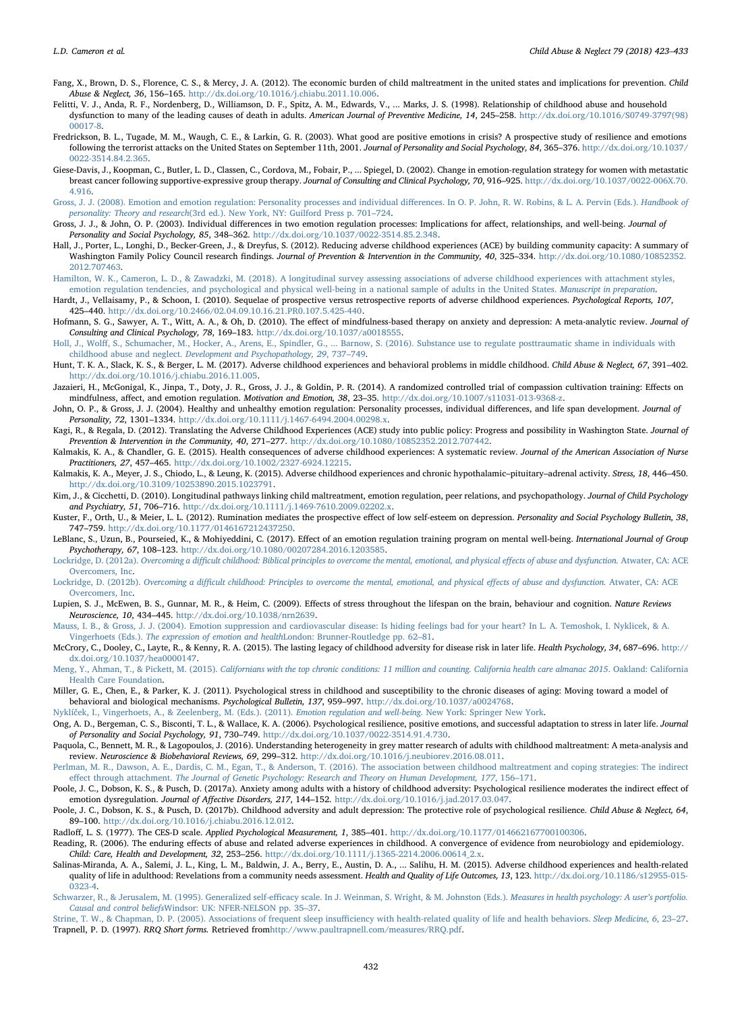- <span id="page-9-7"></span>Fang, X., Brown, D. S., Florence, C. S., & Mercy, J. A. (2012). The economic burden of child maltreatment in the united states and implications for prevention. Child Abuse & Neglect, 36, 156–165. [http://dx.doi.org/10.1016/j.chiabu.2011.10.006.](http://dx.doi.org/10.1016/j.chiabu.2011.10.006)
- <span id="page-9-0"></span>Felitti, V. J., Anda, R. F., Nordenberg, D., Williamson, D. F., Spitz, A. M., Edwards, V., ... Marks, J. S. (1998). Relationship of childhood abuse and household dysfunction to many of the leading causes of death in adults. American Journal of Preventive Medicine, 14, 245-258. [http://dx.doi.org/10.1016/S0749-3797\(98\)](http://dx.doi.org/10.1016/S0749-3797(98)00017-8) [00017-8](http://dx.doi.org/10.1016/S0749-3797(98)00017-8).
- <span id="page-9-21"></span>Fredrickson, B. L., Tugade, M. M., Waugh, C. E., & Larkin, G. R. (2003). What good are positive emotions in crisis? A prospective study of resilience and emotions following the terrorist attacks on the United States on September 11th, 2001. Journal of Personality and Social Psychology, 84, 365-376. [http://dx.doi.org/10.1037/](http://dx.doi.org/10.1037/0022-3514.84.2.365) [0022-3514.84.2.365.](http://dx.doi.org/10.1037/0022-3514.84.2.365)
- <span id="page-9-22"></span>Giese-Davis, J., Koopman, C., Butler, L. D., Classen, C., Cordova, M., Fobair, P., ... Spiegel, D. (2002). Change in emotion-regulation strategy for women with metastatic breast cancer following supportive-expressive group therapy. Journal of Consulting and Clinical Psychology, 70, 916-925. [http://dx.doi.org/10.1037/0022-006X.70.](http://dx.doi.org/10.1037/0022-006X.70.4.916) [4.916](http://dx.doi.org/10.1037/0022-006X.70.4.916).
- <span id="page-9-14"></span>[Gross, J. J. \(2008\). Emotion and emotion regulation: Personality processes and individual di](http://refhub.elsevier.com/S0145-2134(18)30106-6/sbref0130)fferences. In O. P. John, R. W. Robins, & L. A. Pervin (Eds.). Handbook of personality: Theory and research[\(3rd ed.\). New York, NY: Guilford Press p. 701](http://refhub.elsevier.com/S0145-2134(18)30106-6/sbref0130)–724.
- <span id="page-9-28"></span>Gross, J. J., & John, O. P. (2003). Individual differences in two emotion regulation processes: Implications for affect, relationships, and well-being. Journal of Personality and Social Psychology, 85, 348–362. <http://dx.doi.org/10.1037/0022-3514.85.2.348>.
- <span id="page-9-4"></span>Hall, J., Porter, L., Longhi, D., Becker-Green, J., & Dreyfus, S. (2012). Reducing adverse childhood experiences (ACE) by building community capacity: A summary of Washington Family Policy Council research findings. Journal of Prevention & Intervention in the Community, 40, 325-334. [http://dx.doi.org/10.1080/10852352.](http://dx.doi.org/10.1080/10852352.2012.707463) [2012.707463.](http://dx.doi.org/10.1080/10852352.2012.707463)
- <span id="page-9-35"></span>[Hamilton, W. K., Cameron, L. D., & Zawadzki, M. \(2018\). A longitudinal survey assessing associations of adverse childhood experiences with attachment styles,](http://refhub.elsevier.com/S0145-2134(18)30106-6/sbref0145) [emotion regulation tendencies, and psychological and physical well-being in a national sample of adults in the United States.](http://refhub.elsevier.com/S0145-2134(18)30106-6/sbref0145) Manuscript in preparation
- <span id="page-9-26"></span>Hardt, J., Vellaisamy, P., & Schoon, I. (2010). Sequelae of prospective versus retrospective reports of adverse childhood experiences. Psychological Reports, 107, 425–440. [http://dx.doi.org/10.2466/02.04.09.10.16.21.PR0.107.5.425-440.](http://dx.doi.org/10.2466/02.04.09.10.16.21.PR0.107.5.425-440)
- <span id="page-9-23"></span>Hofmann, S. G., Sawyer, A. T., Witt, A. A., & Oh, D. (2010). The effect of mindfulness-based therapy on anxiety and depression: A meta-analytic review. Journal of Consulting and Clinical Psychology, 78, 169–183. [http://dx.doi.org/10.1037/a0018555.](http://dx.doi.org/10.1037/a0018555)
- <span id="page-9-36"></span>Holl, J., Wolff[, S., Schumacher, M., Hocker, A., Arens, E., Spindler, G., ... Barnow, S. \(2016\). Substance use to regulate posttraumatic shame in individuals with](http://refhub.elsevier.com/S0145-2134(18)30106-6/sbref0160) childhood abuse and neglect. [Development and Psychopathology, 29](http://refhub.elsevier.com/S0145-2134(18)30106-6/sbref0160), 737–749.
- <span id="page-9-13"></span>Hunt, T. K. A., Slack, K. S., & Berger, L. M. (2017). Adverse childhood experiences and behavioral problems in middle childhood. Child Abuse & Neglect, 67, 391–402. <http://dx.doi.org/10.1016/j.chiabu.2016.11.005>.
- <span id="page-9-17"></span>Jazaieri, H., McGonigal, K., Jinpa, T., Doty, J. R., Gross, J. J., & Goldin, P. R. (2014). A randomized controlled trial of compassion cultivation training: Effects on mindfulness, affect, and emotion regulation. Motivation and Emotion, 38, 23–35. <http://dx.doi.org/10.1007/s11031-013-9368-z>.
- <span id="page-9-32"></span>John, O. P., & Gross, J. J. (2004). Healthy and unhealthy emotion regulation: Personality processes, individual differences, and life span development. Journal of Personality, 72, 1301–1334. <http://dx.doi.org/10.1111/j.1467-6494.2004.00298.x>.
- <span id="page-9-5"></span>Kagi, R., & Regala, D. (2012). Translating the Adverse Childhood Experiences (ACE) study into public policy: Progress and possibility in Washington State. Journal of Prevention & Intervention in the Community, 40, 271–277. <http://dx.doi.org/10.1080/10852352.2012.707442>.
- <span id="page-9-1"></span>Kalmakis, K. A., & Chandler, G. E. (2015). Health consequences of adverse childhood experiences: A systematic review. Journal of the American Association of Nurse Practitioners, 27, 457–465. <http://dx.doi.org/10.1002/2327-6924.12215>.
- <span id="page-9-10"></span>Kalmakis, K. A., Meyer, J. S., Chiodo, L., & Leung, K. (2015). Adverse childhood experiences and chronic hypothalamic-pituitary-adrenal activity. Stress, 18, 446-450. [http://dx.doi.org/10.3109/10253890.2015.1023791.](http://dx.doi.org/10.3109/10253890.2015.1023791)
- <span id="page-9-31"></span>Kim, J., & Cicchetti, D. (2010). Longitudinal pathways linking child maltreatment, emotion regulation, peer relations, and psychopathology. Journal of Child Psychology and Psychiatry, 51, 706–716. [http://dx.doi.org/10.1111/j.1469-7610.2009.02202.x.](http://dx.doi.org/10.1111/j.1469-7610.2009.02202.x)
- <span id="page-9-15"></span>Kuster, F., Orth, U., & Meier, L. L. (2012). Rumination mediates the prospective effect of low self-esteem on depression. Personality and Social Psychology Bulletin, 38, 747–759. [http://dx.doi.org/10.1177/0146167212437250.](http://dx.doi.org/10.1177/0146167212437250)
- <span id="page-9-18"></span>LeBlanc, S., Uzun, B., Pourseied, K., & Mohiyeddini, C. (2017). Effect of an emotion regulation training program on mental well-being. International Journal of Group Psychotherapy, 67, 108–123. [http://dx.doi.org/10.1080/00207284.2016.1203585.](http://dx.doi.org/10.1080/00207284.2016.1203585)
- <span id="page-9-20"></span>Lockridge, D. (2012a). Overcoming a diffi[cult childhood: Biblical principles to overcome the mental, emotional, and physical e](http://refhub.elsevier.com/S0145-2134(18)30106-6/sbref0210)ffects of abuse and dysfunction. Atwater, CA: ACE [Overcomers, Inc](http://refhub.elsevier.com/S0145-2134(18)30106-6/sbref0210).
- <span id="page-9-19"></span>Lockridge, D. (2012b). Overcoming a diffi[cult childhood: Principles to overcome the mental, emotional, and physical e](http://refhub.elsevier.com/S0145-2134(18)30106-6/sbref0215)ffects of abuse and dysfunction. Atwater, CA: ACE [Overcomers, Inc](http://refhub.elsevier.com/S0145-2134(18)30106-6/sbref0215).
- <span id="page-9-2"></span>Lupien, S. J., McEwen, B. S., Gunnar, M. R., & Heim, C. (2009). Effects of stress throughout the lifespan on the brain, behaviour and cognition. Nature Reviews Neuroscience, 10, 434–445. <http://dx.doi.org/10.1038/nrn2639>.
- <span id="page-9-33"></span>[Mauss, I. B., & Gross, J. J. \(2004\). Emotion suppression and cardiovascular disease: Is hiding feelings bad for your heart? In L. A. Temoshok, I. Nyklicek, & A.](http://refhub.elsevier.com/S0145-2134(18)30106-6/sbref0225) Vingerhoets (Eds.). [The expression of emotion and health](http://refhub.elsevier.com/S0145-2134(18)30106-6/sbref0225)London: Brunner-Routledge pp. 62–81.
- <span id="page-9-6"></span>McCrory, C., Dooley, C., Layte, R., & Kenny, R. A. (2015). The lasting legacy of childhood adversity for disease risk in later life. Health Psychology, 34, 687–696. [http://](http://dx.doi.org/10.1037/hea0000147) [dx.doi.org/10.1037/hea0000147](http://dx.doi.org/10.1037/hea0000147).
- <span id="page-9-25"></span>Meng, Y., Ahman, T., & Pickett, M. (2015). [Californians with the top chronic conditions: 11 million and counting. California health care almanac 2015](http://refhub.elsevier.com/S0145-2134(18)30106-6/sbref0235). Oakland: California [Health Care Foundation](http://refhub.elsevier.com/S0145-2134(18)30106-6/sbref0235).
- <span id="page-9-3"></span>Miller, G. E., Chen, E., & Parker, K. J. (2011). Psychological stress in childhood and susceptibility to the chronic diseases of aging: Moving toward a model of behavioral and biological mechanisms. Psychological Bulletin, 137, 959–997. <http://dx.doi.org/10.1037/a0024768>.
- <span id="page-9-16"></span>Nyklíč[ek, I., Vingerhoets, A., & Zeelenberg, M. \(Eds.\). \(2011\).](http://refhub.elsevier.com/S0145-2134(18)30106-6/sbref0245) Emotion regulation and well-being. New York: Springer New York.
- <span id="page-9-24"></span>Ong, A. D., Bergeman, C. S., Bisconti, T. L., & Wallace, K. A. (2006). Psychological resilience, positive emotions, and successful adaptation to stress in later life. Journal of Personality and Social Psychology, 91, 730–749. [http://dx.doi.org/10.1037/0022-3514.91.4.730.](http://dx.doi.org/10.1037/0022-3514.91.4.730)
- <span id="page-9-11"></span>Paquola, C., Bennett, M. R., & Lagopoulos, J. (2016). Understanding heterogeneity in grey matter research of adults with childhood maltreatment: A meta-analysis and review. Neuroscience & Biobehavioral Reviews, 69, 299–312. <http://dx.doi.org/10.1016/j.neubiorev.2016.08.011>.
- <span id="page-9-38"></span>[Perlman, M. R., Dawson, A. E., Dardis, C. M., Egan, T., & Anderson, T. \(2016\). The association between childhood maltreatment and coping strategies: The indirect](http://refhub.elsevier.com/S0145-2134(18)30106-6/sbref0260) effect through attachment. [The Journal of Genetic Psychology: Research and Theory on Human Development, 177](http://refhub.elsevier.com/S0145-2134(18)30106-6/sbref0260), 156–171.
- <span id="page-9-8"></span>Poole, J. C., Dobson, K. S., & Pusch, D. (2017a). Anxiety among adults with a history of childhood adversity: Psychological resilience moderates the indirect effect of emotion dysregulation. Journal of Affective Disorders, 217, 144–152. [http://dx.doi.org/10.1016/j.jad.2017.03.047.](http://dx.doi.org/10.1016/j.jad.2017.03.047)
- <span id="page-9-34"></span>Poole, J. C., Dobson, K. S., & Pusch, D. (2017b). Childhood adversity and adult depression: The protective role of psychological resilience. Child Abuse & Neglect, 64, 89–100. <http://dx.doi.org/10.1016/j.chiabu.2016.12.012>.
- <span id="page-9-30"></span>Radloff, L. S. (1977). The CES-D scale. Applied Psychological Measurement, 1, 385–401. [http://dx.doi.org/10.1177/014662167700100306.](http://dx.doi.org/10.1177/014662167700100306)
- <span id="page-9-12"></span>Reading, R. (2006). The enduring effects of abuse and related adverse experiences in childhood. A convergence of evidence from neurobiology and epidemiology. Child: Care, Health and Development, 32, 253-256. http://dx.doi.org/10.1111/j.1365-2214.2006.00614 2.x.
- <span id="page-9-9"></span>Salinas-Miranda, A. A., Salemi, J. L., King, L. M., Baldwin, J. A., Berry, E., Austin, D. A., ... Salihu, H. M. (2015). Adverse childhood experiences and health-related quality of life in adulthood: Revelations from a community needs assessment. Health and Quality of Life Outcomes, 13, 123. [http://dx.doi.org/10.1186/s12955-015-](http://dx.doi.org/10.1186/s12955-015-0323-4) [0323-4.](http://dx.doi.org/10.1186/s12955-015-0323-4)
- <span id="page-9-29"></span>Schwarzer, R., & Jerusalem, M. (1995). Generalized self-effi[cacy scale. In J. Weinman, S. Wright, & M. Johnston \(Eds.\).](http://refhub.elsevier.com/S0145-2134(18)30106-6/sbref0290) Measures in health psychology: A user's portfolio. Causal and control beliefs[Windsor: UK: NFER-NELSON pp. 35](http://refhub.elsevier.com/S0145-2134(18)30106-6/sbref0290)–37.
- <span id="page-9-37"></span><span id="page-9-27"></span>[Strine, T. W., & Chapman, D. P. \(2005\). Associations of frequent sleep insu](http://refhub.elsevier.com/S0145-2134(18)30106-6/sbref0295)fficiency with health-related quality of life and health behaviors. Sleep Medicine, 6, 23–27. Trapnell, P. D. (1997). RRQ Short forms. Retrieved fro[mhttp://www.paultrapnell.com/measures/RRQ.pdf.](http://www.paultrapnell.com/measures/RRQ.pdf)